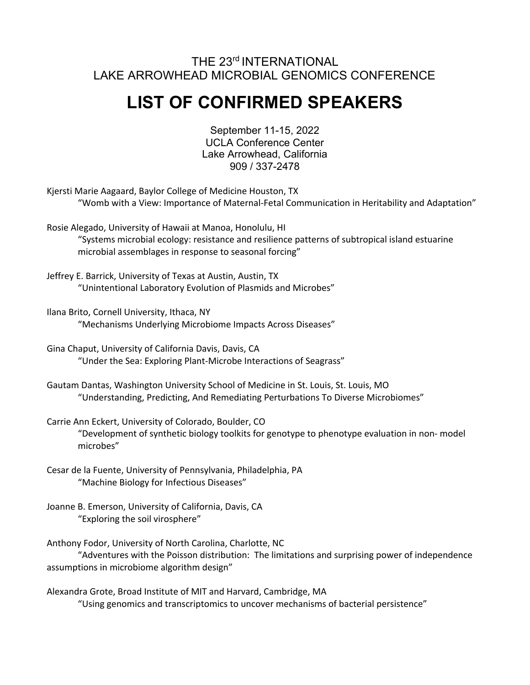## THE 23rd INTERNATIONAL LAKE ARROWHEAD MICROBIAL GENOMICS CONFERENCE

## **LIST OF CONFIRMED SPEAKERS**

September 11-15, 2022 UCLA Conference Center Lake Arrowhead, California 909 / 337-2478

Kjersti Marie Aagaard, Baylor College of Medicine Houston, TX "Womb with a View: Importance of Maternal-Fetal Communication in Heritability and Adaptation"

Rosie Alegado, University of Hawaii at Manoa, Honolulu, HI "Systems microbial ecology: resistance and resilience patterns of subtropical island estuarine microbial assemblages in response to seasonal forcing"

- Jeffrey E. Barrick, University of Texas at Austin, Austin, TX "Unintentional Laboratory Evolution of Plasmids and Microbes"
- Ilana Brito, Cornell University, Ithaca, NY "Mechanisms Underlying Microbiome Impacts Across Diseases"
- Gina Chaput, University of California Davis, Davis, CA "Under the Sea: Exploring Plant-Microbe Interactions of Seagrass"

Gautam Dantas, Washington University School of Medicine in St. Louis, St. Louis, MO "Understanding, Predicting, And Remediating Perturbations To Diverse Microbiomes"

- Carrie Ann Eckert, University of Colorado, Boulder, CO "Development of synthetic biology toolkits for genotype to phenotype evaluation in non- model microbes"
- Cesar de la Fuente, University of Pennsylvania, Philadelphia, PA "Machine Biology for Infectious Diseases"

Joanne B. Emerson, University of California, Davis, CA "Exploring the soil virosphere"

Anthony Fodor, University of North Carolina, Charlotte, NC

"Adventures with the Poisson distribution: The limitations and surprising power of independence assumptions in microbiome algorithm design"

Alexandra Grote, Broad Institute of MIT and Harvard, Cambridge, MA "Using genomics and transcriptomics to uncover mechanisms of bacterial persistence"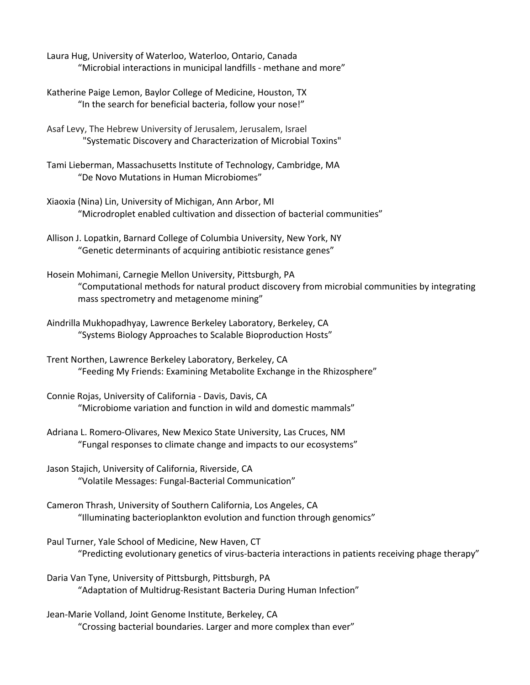- Laura Hug, University of Waterloo, Waterloo, Ontario, Canada "Microbial interactions in municipal landfills - methane and more"
- Katherine Paige Lemon, Baylor College of Medicine, Houston, TX "In the search for beneficial bacteria, follow your nose!"
- Asaf Levy, The Hebrew University of Jerusalem, Jerusalem, Israel "Systematic Discovery and Characterization of Microbial Toxins"
- Tami Lieberman, Massachusetts Institute of Technology, Cambridge, MA "De Novo Mutations in Human Microbiomes"
- Xiaoxia (Nina) Lin, University of Michigan, Ann Arbor, MI "Microdroplet enabled cultivation and dissection of bacterial communities"
- Allison J. Lopatkin, Barnard College of Columbia University, New York, NY "Genetic determinants of acquiring antibiotic resistance genes"
- Hosein Mohimani, Carnegie Mellon University, Pittsburgh, PA "Computational methods for natural product discovery from microbial communities by integrating mass spectrometry and metagenome mining"
- Aindrilla Mukhopadhyay, Lawrence Berkeley Laboratory, Berkeley, CA "Systems Biology Approaches to Scalable Bioproduction Hosts"
- Trent Northen, Lawrence Berkeley Laboratory, Berkeley, CA "Feeding My Friends: Examining Metabolite Exchange in the Rhizosphere"
- Connie Rojas, University of California Davis, Davis, CA "Microbiome variation and function in wild and domestic mammals"
- Adriana L. Romero-Olivares, New Mexico State University, Las Cruces, NM "Fungal responses to climate change and impacts to our ecosystems"
- Jason Stajich, University of California, Riverside, CA "Volatile Messages: Fungal-Bacterial Communication"
- Cameron Thrash, University of Southern California, Los Angeles, CA "Illuminating bacterioplankton evolution and function through genomics"
- Paul Turner, Yale School of Medicine, New Haven, CT "Predicting evolutionary genetics of virus-bacteria interactions in patients receiving phage therapy"
- Daria Van Tyne, University of Pittsburgh, Pittsburgh, PA "Adaptation of Multidrug-Resistant Bacteria During Human Infection"
- Jean-Marie Volland, Joint Genome Institute, Berkeley, CA "Crossing bacterial boundaries. Larger and more complex than ever"